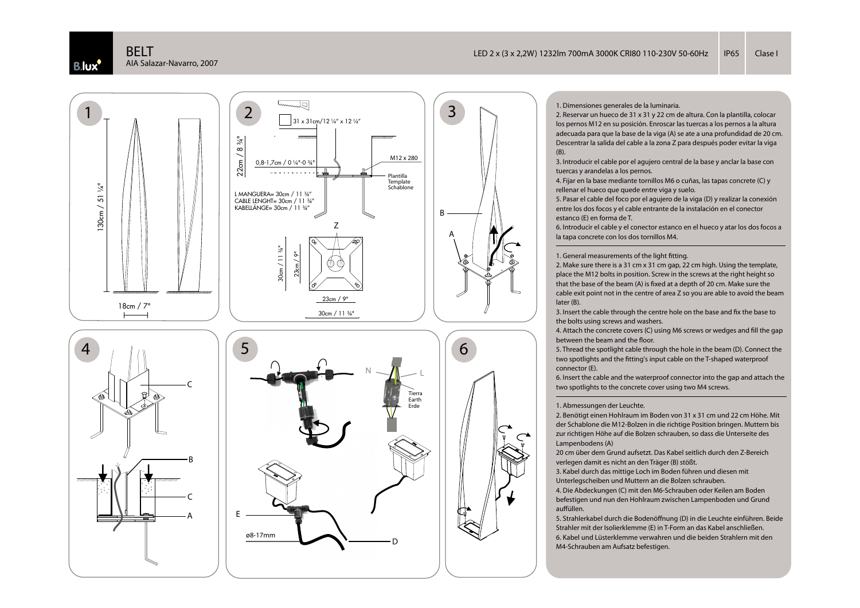



los pernos M12 en su posición. Enroscar las tuercas a los pernos a la altura adecuada para que la base de la viga (A) se ate a una profundidad de 20 cm. Descentrar la salida del cable a la zona Z para después poder evitar la viga (B).

 3. Introducir el cable por el agujero central de la base y anclar la base con tuercas y arandelas a los pernos.

4. Fijar en la base mediante tornillos M6 o cuñas, las tapas concrete (C) y rellenar el hueco que quede entre viga y suelo.

5. Pasar el cable del foco por el agujero de la viga (D) y realizar la conexión entre los dos focos y el cable entrante de la instalación en el conector estanco (E) en forma de T.

 6. Introducir el cable y el conector estanco en el hueco y atar los dos focos a la tapa concrete con los dos tornillos M4.

1. General measurements of the light fitting.

2. Make sure there is a 31 cm x 31 cm gap, 22 cm high. Using the template, place the M12 bolts in position. Screw in the screws at the right height so that the base of the beam (A) is fixed at a depth of 20 cm. Make sure the cable exit point not in the centre of area Z so you are able to avoid the beam later (B).

3. Insert the cable through the centre hole on the base and fix the base to the bolts using screws and washers.

4. Attach the concrete covers (C) using M6 screws or wedges and fill the gap between the beam and the floor.

 5. Thread the spotlight cable through the hole in the beam (D). Connect the two spotlights and the fitting's input cable on the T-shaped waterproof connector (E).

 6. Insert the cable and the waterproof connector into the gap and attach the two spotlights to the concrete cover using two M4 screws.

## 1. Abmessungen der Leuchte.

2. Benötigt einen Hohlraum im Boden von 31 x 31 cm und 22 cm Höhe. Mit der Schablone die M12-Bolzen in die richtige Position bringen. Muttern bis zur richtigen Höhe auf die Bolzen schrauben, so dass die Unterseite des Lampenbodens (A)

 20 cm über dem Grund aufsetzt. Das Kabel seitlich durch den Z-Bereich verlegen damit es nicht an den Träger (B) stößt.

3. Kabel durch das mittige Loch im Boden führen und diesen mit Unterlegscheiben und Muttern an die Bolzen schrauben.

4. Die Abdeckungen (C) mit den M6-Schrauben oder Keilen am Boden befestigen und nun den Hohlraum zwischen Lampenboden und Grund auffüllen.

5. Strahlerkabel durch die Bodenöffnung (D) in die Leuchte einführen. Beide Strahler mit der Isolierklemme (E) in T-Form an das Kabel anschließen.6. Kabel und Lüsterklemme verwahren und die beiden Strahlern mit den M4-Schrauben am Aufsatz befestigen.